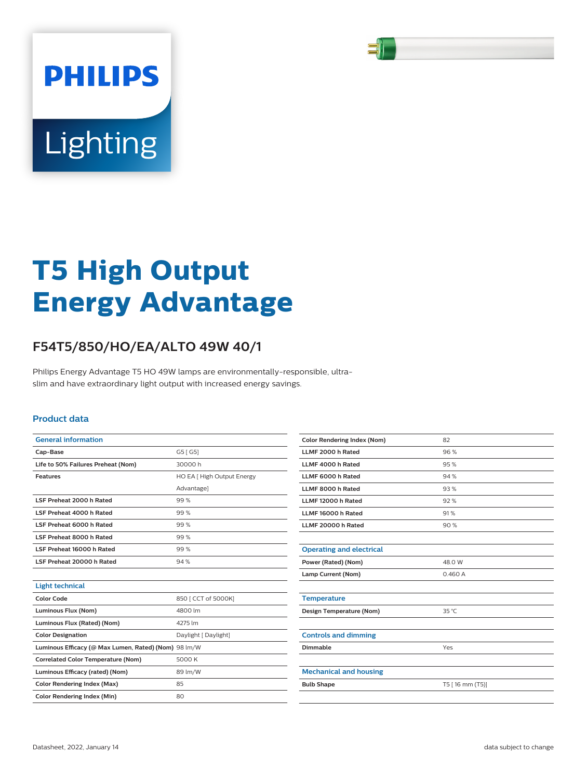

# Lighting

**PHILIPS** 

# **T5 High Output Energy Advantage**

# **F54T5/850/HO/EA/ALTO 49W 40/1**

Philips Energy Advantage T5 HO 49W lamps are environmentally-responsible, ultraslim and have extraordinary light output with increased energy savings.

#### **Product data**

| <b>General information</b>                           |                            |  |  |  |
|------------------------------------------------------|----------------------------|--|--|--|
| Cap-Base                                             | G5 [ G5]                   |  |  |  |
| Life to 50% Failures Preheat (Nom)                   | 30000h                     |  |  |  |
| <b>Features</b>                                      | HO EA [ High Output Energy |  |  |  |
|                                                      | Advantage]                 |  |  |  |
| <b>I SE Preheat 2000 h Rated</b>                     | 99%                        |  |  |  |
| LSF Preheat 4000 h Rated                             | 99%                        |  |  |  |
| LSF Preheat 6000 h Rated                             | 99%                        |  |  |  |
| LSF Preheat 8000 h Rated                             | 99%                        |  |  |  |
| LSF Preheat 16000 h Rated                            | 99%                        |  |  |  |
| LSF Preheat 20000 h Rated                            | 94%                        |  |  |  |
|                                                      |                            |  |  |  |
| <b>Light technical</b>                               |                            |  |  |  |
| <b>Color Code</b>                                    | 850   CCT of 5000K]        |  |  |  |
| Luminous Flux (Nom)                                  | 4800 lm                    |  |  |  |
| Luminous Flux (Rated) (Nom)                          | 4275 lm                    |  |  |  |
| <b>Color Designation</b>                             | Daylight [ Daylight]       |  |  |  |
| Luminous Efficacy (@ Max Lumen, Rated) (Nom) 98 lm/W |                            |  |  |  |
| <b>Correlated Color Temperature (Nom)</b>            | 5000 K                     |  |  |  |
| Luminous Efficacy (rated) (Nom)                      | 89 lm/W                    |  |  |  |
| <b>Color Rendering Index (Max)</b>                   | 85                         |  |  |  |
| <b>Color Rendering Index (Min)</b>                   | 80                         |  |  |  |

| <b>Color Rendering Index (Nom)</b> | 82              |  |  |
|------------------------------------|-----------------|--|--|
| LLMF 2000 h Rated                  | 96%             |  |  |
| LLMF 4000 h Rated                  | 95%             |  |  |
| LLMF 6000 h Rated                  | 94%             |  |  |
| LLMF 8000 h Rated                  | 93%             |  |  |
| LLMF 12000 h Rated                 | 92%             |  |  |
| LLMF 16000 h Rated                 | 91%             |  |  |
| LLMF 20000 h Rated                 | 90%             |  |  |
|                                    |                 |  |  |
| <b>Operating and electrical</b>    |                 |  |  |
| Power (Rated) (Nom)                | 48.0 W          |  |  |
| Lamp Current (Nom)                 | 0.460A          |  |  |
|                                    |                 |  |  |
| <b>Temperature</b>                 |                 |  |  |
| Design Temperature (Nom)           | 35 °C           |  |  |
|                                    |                 |  |  |
| <b>Controls and dimming</b>        |                 |  |  |
| Dimmable                           | Yes             |  |  |
|                                    |                 |  |  |
| <b>Mechanical and housing</b>      |                 |  |  |
| <b>Bulb Shape</b>                  | T5 [16 mm (T5)] |  |  |
|                                    |                 |  |  |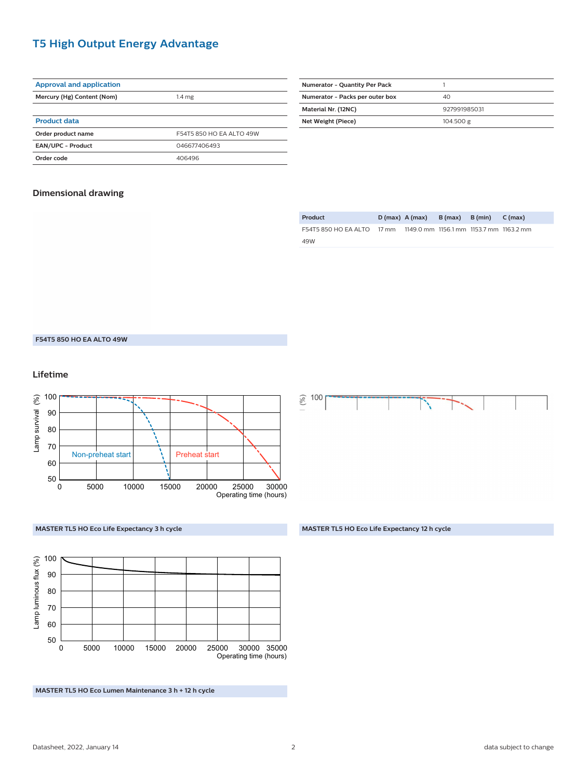## **T5 High Output Energy Advantage**

| <b>Approval and application</b> |                          |  |  |  |
|---------------------------------|--------------------------|--|--|--|
| Mercury (Hg) Content (Nom)      | 1.4 <sub>mg</sub>        |  |  |  |
|                                 |                          |  |  |  |
| <b>Product data</b>             |                          |  |  |  |
| Order product name              | F54T5 850 HO FA ALTO 49W |  |  |  |
| <b>EAN/UPC - Product</b>        | 046677406493             |  |  |  |
| Order code                      | 406496                   |  |  |  |

| <b>Numerator - Quantity Per Pack</b> |              |
|--------------------------------------|--------------|
| Numerator - Packs per outer box      | 40           |
| Material Nr. (12NC)                  | 927991985031 |
| Net Weight (Piece)                   | 104.500 g    |
|                                      |              |

#### **Dimensional drawing**

| Product                                                            | $D(max)$ A (max) $B(max)$ B (min) |  | C (max) |
|--------------------------------------------------------------------|-----------------------------------|--|---------|
| F54T5 850 HO FA ALTO 17 mm 1149.0 mm 1156.1 mm 1153.7 mm 1163.2 mm |                                   |  |         |
| 49W                                                                |                                   |  |         |

**F54T5 850 HO EA ALTO 49W**

#### **Lifetime**





100 Lamp luminous flux (%) Lamp luminous flux (%) 90 80 70 60 50 0 5000 10000 15000 20000 25000 30000 35000 Operating time (hours)

**MASTER TL5 HO Eco Lumen Maintenance 3 h + 12 h cycle**

**MASTER TL5 HO Eco Life Expectancy 3 h cycle MASTER TL5 HO Eco Life Expectancy 12 h cycle**

100